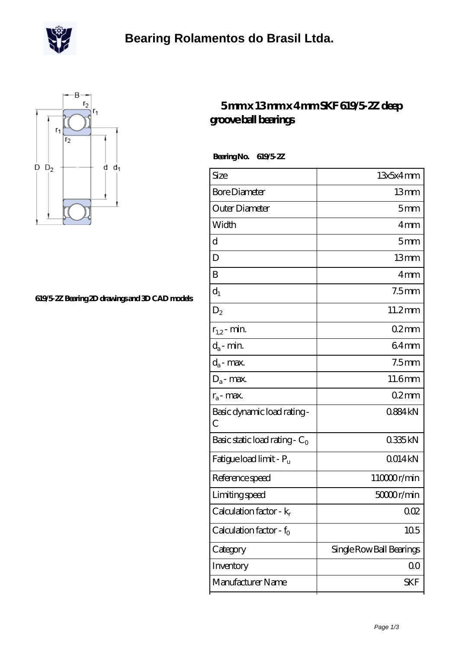



## **[619/5-2Z Bearing 2D drawings and 3D CAD models](https://m.scottrobertalexander.com/pic-539830.html)**

## **[5 mm x 13 mm x 4 mm SKF 619/5-2Z deep](https://m.scottrobertalexander.com/skf-619-5-2z-bearing/) [groove ball bearings](https://m.scottrobertalexander.com/skf-619-5-2z-bearing/)**

 **Bearing No. 619/5-2Z**

| Size                                       | 13x5x4mm                 |
|--------------------------------------------|--------------------------|
| <b>Bore Diameter</b>                       | 13mm                     |
| Outer Diameter                             | 5mm                      |
| Width                                      | 4mm                      |
| d                                          | 5 <sub>mm</sub>          |
| D                                          | 13mm                     |
| B                                          | 4 <sub>mm</sub>          |
| $d_1$                                      | 7.5 <sub>mm</sub>        |
| $\mathrm{D}_2$                             | 11.2mm                   |
| $r_{1,2}$ - min.                           | $02$ mm                  |
| $d_a$ - min.                               | 64 <sub>mm</sub>         |
| $d_a$ - max.                               | 7.5 <sub>mm</sub>        |
| $D_a$ - max.                               | 11.6mm                   |
| $r_a$ - max.                               | $02$ mm                  |
| Basic dynamic load rating-<br>$\mathcal C$ | 0884kN                   |
| Basic static load rating - $C_0$           | 0335kN                   |
| Fatigue load limit - P <sub>u</sub>        | Q014kN                   |
| Reference speed                            | 110000r/min              |
| Limiting speed                             | 50000r/min               |
| Calculation factor - $k_r$                 | 002                      |
| Calculation factor - f <sub>0</sub>        | 105                      |
| Category                                   | Single Row Ball Bearings |
| Inventory                                  | QO                       |
| Manufacturer Name                          | <b>SKF</b>               |
|                                            |                          |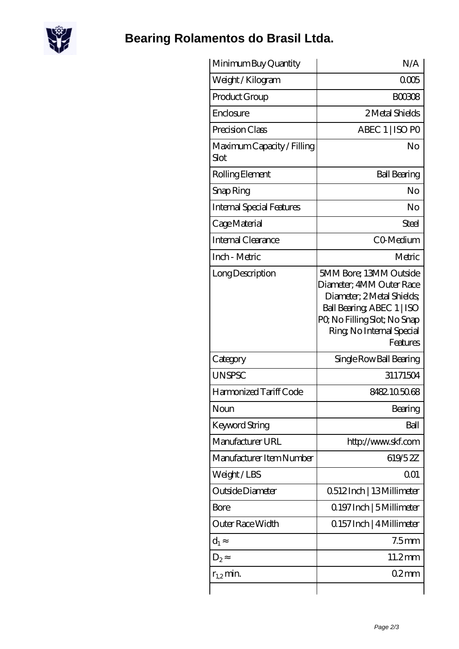

## **[Bearing Rolamentos do Brasil Ltda.](https://m.scottrobertalexander.com)**

| Minimum Buy Quantity               | N/A                                                                                                                                                                                    |
|------------------------------------|----------------------------------------------------------------------------------------------------------------------------------------------------------------------------------------|
| Weight / Kilogram                  | 0005                                                                                                                                                                                   |
| Product Group                      | BOO3O8                                                                                                                                                                                 |
| Enclosure                          | 2 Metal Shields                                                                                                                                                                        |
| Precision Class                    | ABEC 1   ISO PO                                                                                                                                                                        |
| Maximum Capacity / Filling<br>Slot | No                                                                                                                                                                                     |
| Rolling Element                    | <b>Ball Bearing</b>                                                                                                                                                                    |
| Snap Ring                          | No                                                                                                                                                                                     |
| Internal Special Features          | No                                                                                                                                                                                     |
| Cage Material                      | Steel                                                                                                                                                                                  |
| Internal Clearance                 | CO-Medium                                                                                                                                                                              |
| Inch - Metric                      | Metric                                                                                                                                                                                 |
| Long Description                   | 5MM Bore; 13MM Outside<br>Diameter; 4MM Outer Race<br>Diameter; 2 Metal Shields;<br>Ball Bearing, ABEC 1   ISO<br>PQ No Filling Slot; No Snap<br>Ring, No Internal Special<br>Features |
| Category                           | Single Row Ball Bearing                                                                                                                                                                |
| <b>UNSPSC</b>                      | 31171504                                                                                                                                                                               |
| Harmonized Tariff Code             | 8482105068                                                                                                                                                                             |
| Noun                               | Bearing                                                                                                                                                                                |
| Keyword String                     | Ball                                                                                                                                                                                   |
| Manufacturer URL                   | http://www.skf.com                                                                                                                                                                     |
| Manufacturer Item Number           | 619/52Z                                                                                                                                                                                |
| Weight/LBS                         | 0 <sub>01</sub>                                                                                                                                                                        |
| Outside Diameter                   | 0512Inch   13Millimeter                                                                                                                                                                |
| Bore                               | Q 197 Inch   5 Millimeter                                                                                                                                                              |
| Outer Race Width                   | 0.157 Inch   4 Millimeter                                                                                                                                                              |
| $d_1$                              | 7.5 <sub>mm</sub>                                                                                                                                                                      |
| $D_2$                              | 11.2mm                                                                                                                                                                                 |
| $r_{1,2}$ min.                     | $02$ mm                                                                                                                                                                                |
|                                    |                                                                                                                                                                                        |